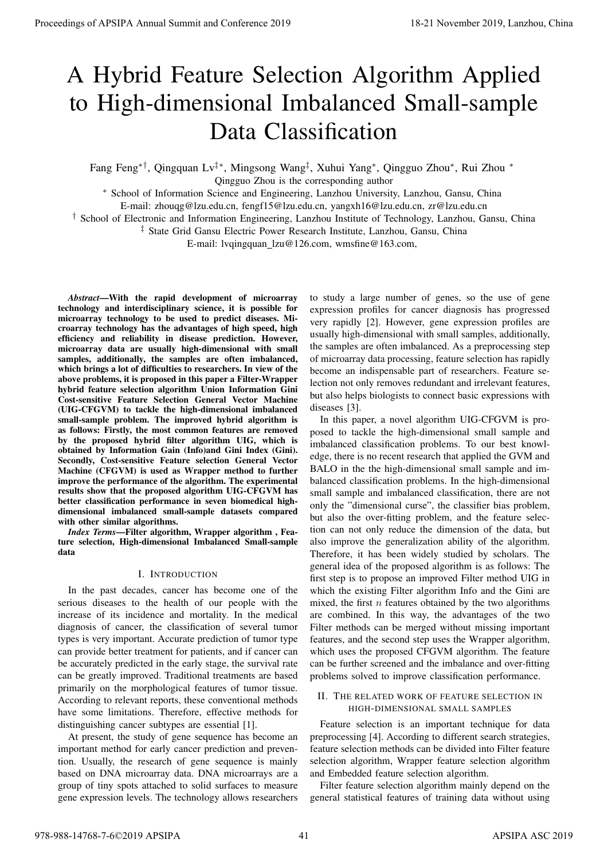# A Hybrid Feature Selection Algorithm Applied to High-dimensional Imbalanced Small-sample Data Classification

Fang Feng*∗†*, Qingquan Lv*‡∗*, Mingsong Wang*‡* , Xuhui Yang*<sup>∗</sup>* , Qingguo Zhou*<sup>∗</sup>* , Rui Zhou *<sup>∗</sup>* Qingguo Zhou is the corresponding author

*<sup>∗</sup>* School of Information Science and Engineering, Lanzhou University, Lanzhou, Gansu, China

E-mail: zhouqg@lzu.edu.cn, fengf15@lzu.edu.cn, yangxh16@lzu.edu.cn, zr@lzu.edu.cn

*†* School of Electronic and Information Engineering, Lanzhou Institute of Technology, Lanzhou, Gansu, China

*‡* State Grid Gansu Electric Power Research Institute, Lanzhou, Gansu, China

E-mail: lvqingquan lzu@126.com, wmsfine@163.com,

*Abstract*—With the rapid development of microarray technology and interdisciplinary science, it is possible for microarray technology to be used to predict diseases. Microarray technology has the advantages of high speed, high efficiency and reliability in disease prediction. However, microarray data are usually high-dimensional with small samples, additionally, the samples are often imbalanced, which brings a lot of difficulties to researchers. In view of the above problems, it is proposed in this paper a Filter-Wrapper hybrid feature selection algorithm Union Information Gini Cost-sensitive Feature Selection General Vector Machine (UIG-CFGVM) to tackle the high-dimensional imbalanced small-sample problem. The improved hybrid algorithm is as follows: Firstly, the most common features are removed by the proposed hybrid filter algorithm UIG, which is obtained by Information Gain (Info)and Gini Index (Gini). Secondly, Cost-sensitive Feature selection General Vector Machine (CFGVM) is used as Wrapper method to further improve the performance of the algorithm. The experimental results show that the proposed algorithm UIG-CFGVM has better classification performance in seven biomedical highdimensional imbalanced small-sample datasets compared with other similar algorithms.

*Index Terms*—Filter algorithm, Wrapper algorithm , Feature selection, High-dimensional Imbalanced Small-sample data

# I. INTRODUCTION

In the past decades, cancer has become one of the serious diseases to the health of our people with the increase of its incidence and mortality. In the medical diagnosis of cancer, the classification of several tumor types is very important. Accurate prediction of tumor type can provide better treatment for patients, and if cancer can be accurately predicted in the early stage, the survival rate can be greatly improved. Traditional treatments are based primarily on the morphological features of tumor tissue. According to relevant reports, these conventional methods have some limitations. Therefore, effective methods for distinguishing cancer subtypes are essential [1].

At present, the study of gene sequence has become an important method for early cancer prediction and prevention. Usually, the research of gene sequence is mainly based on DNA microarray data. DNA microarrays are a group of tiny spots attached to solid surfaces to measure gene expression levels. The technology allows researchers to study a large number of genes, so the use of gene expression profiles for cancer diagnosis has progressed very rapidly [2]. However, gene expression profiles are usually high-dimensional with small samples, additionally, the samples are often imbalanced. As a preprocessing step of microarray data processing, feature selection has rapidly become an indispensable part of researchers. Feature selection not only removes redundant and irrelevant features, but also helps biologists to connect basic expressions with diseases [3].

In this paper, a novel algorithm UIG-CFGVM is proposed to tackle the high-dimensional small sample and imbalanced classification problems. To our best knowledge, there is no recent research that applied the GVM and BALO in the the high-dimensional small sample and imbalanced classification problems. In the high-dimensional small sample and imbalanced classification, there are not only the "dimensional curse", the classifier bias problem, but also the over-fitting problem, and the feature selection can not only reduce the dimension of the data, but also improve the generalization ability of the algorithm. Therefore, it has been widely studied by scholars. The general idea of the proposed algorithm is as follows: The first step is to propose an improved Filter method UIG in which the existing Filter algorithm Info and the Gini are mixed, the first *n* features obtained by the two algorithms are combined. In this way, the advantages of the two Filter methods can be merged without missing important features, and the second step uses the Wrapper algorithm, which uses the proposed CFGVM algorithm. The feature can be further screened and the imbalance and over-fitting problems solved to improve classification performance. Proceedings of APSIPA Annual Summit and Conference 2019 18-21 November 2019, Lanzhou, China 978-988-14768-7-6©2019 APSIPA 41 APSIPA ASC 2019

## II. THE RELATED WORK OF FEATURE SELECTION IN HIGH-DIMENSIONAL SMALL SAMPLES

Feature selection is an important technique for data preprocessing [4]. According to different search strategies, feature selection methods can be divided into Filter feature selection algorithm, Wrapper feature selection algorithm and Embedded feature selection algorithm.

Filter feature selection algorithm mainly depend on the general statistical features of training data without using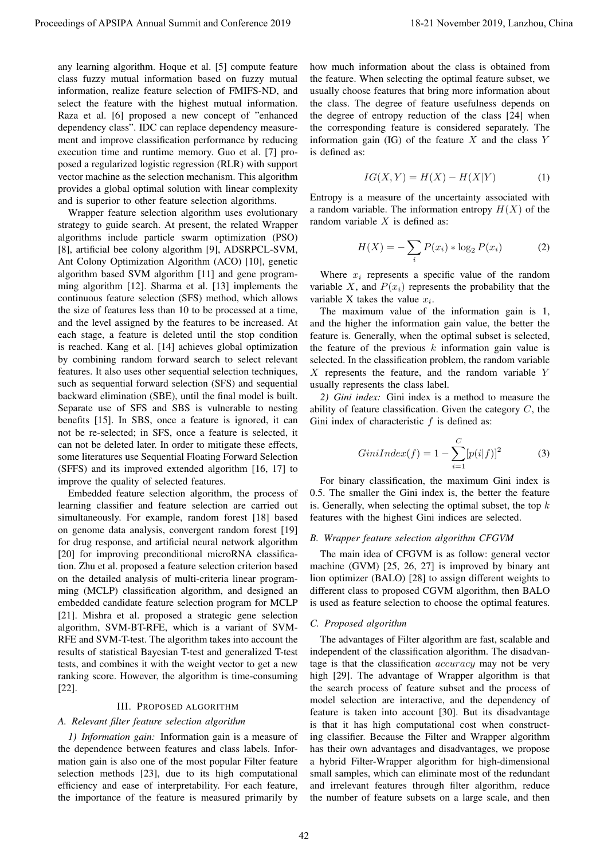any learning algorithm. Hoque et al. [5] compute feature class fuzzy mutual information based on fuzzy mutual information, realize feature selection of FMIFS-ND, and select the feature with the highest mutual information. Raza et al. [6] proposed a new concept of "enhanced dependency class". IDC can replace dependency measurement and improve classification performance by reducing execution time and runtime memory. Guo et al. [7] proposed a regularized logistic regression (RLR) with support vector machine as the selection mechanism. This algorithm provides a global optimal solution with linear complexity and is superior to other feature selection algorithms.

Wrapper feature selection algorithm uses evolutionary strategy to guide search. At present, the related Wrapper algorithms include particle swarm optimization (PSO) [8], artificial bee colony algorithm [9], ADSRPCL-SVM, Ant Colony Optimization Algorithm (ACO) [10], genetic algorithm based SVM algorithm [11] and gene programming algorithm [12]. Sharma et al. [13] implements the continuous feature selection (SFS) method, which allows the size of features less than 10 to be processed at a time, and the level assigned by the features to be increased. At each stage, a feature is deleted until the stop condition is reached. Kang et al. [14] achieves global optimization by combining random forward search to select relevant features. It also uses other sequential selection techniques, such as sequential forward selection (SFS) and sequential backward elimination (SBE), until the final model is built. Separate use of SFS and SBS is vulnerable to nesting benefits [15]. In SBS, once a feature is ignored, it can not be re-selected; in SFS, once a feature is selected, it can not be deleted later. In order to mitigate these effects, some literatures use Sequential Floating Forward Selection (SFFS) and its improved extended algorithm [16, 17] to improve the quality of selected features. Proceeding of APSIPA Annual Summit at China 2019 18.<br>
The state of the star interaction of the star interaction of the star interaction of the star interaction of the star interaction of the star interaction of the star i

Embedded feature selection algorithm, the process of learning classifier and feature selection are carried out simultaneously. For example, random forest [18] based on genome data analysis, convergent random forest [19] for drug response, and artificial neural network algorithm [20] for improving preconditional microRNA classification. Zhu et al. proposed a feature selection criterion based on the detailed analysis of multi-criteria linear programming (MCLP) classification algorithm, and designed an embedded candidate feature selection program for MCLP [21]. Mishra et al. proposed a strategic gene selection algorithm, SVM-BT-RFE, which is a variant of SVM-RFE and SVM-T-test. The algorithm takes into account the results of statistical Bayesian T-test and generalized T-test tests, and combines it with the weight vector to get a new ranking score. However, the algorithm is time-consuming [22].

#### III. PROPOSED ALGORITHM

#### *A. Relevant filter feature selection algorithm*

*1) Information gain:* Information gain is a measure of the dependence between features and class labels. Information gain is also one of the most popular Filter feature selection methods [23], due to its high computational efficiency and ease of interpretability. For each feature, the importance of the feature is measured primarily by

how much information about the class is obtained from the feature. When selecting the optimal feature subset, we usually choose features that bring more information about the class. The degree of feature usefulness depends on the degree of entropy reduction of the class [24] when the corresponding feature is considered separately. The information gain (IG) of the feature *X* and the class *Y* is defined as:

$$
IG(X, Y) = H(X) - H(X|Y)
$$
\n<sup>(1)</sup>

Entropy is a measure of the uncertainty associated with a random variable. The information entropy  $H(X)$  of the random variable *X* is defined as:

$$
H(X) = -\sum_{i} P(x_i) * \log_2 P(x_i)
$$
 (2)

Where  $x_i$  represents a specific value of the random variable *X*, and  $P(x_i)$  represents the probability that the variable X takes the value *x<sup>i</sup>* .

The maximum value of the information gain is 1, and the higher the information gain value, the better the feature is. Generally, when the optimal subset is selected, the feature of the previous *k* information gain value is selected. In the classification problem, the random variable *X* represents the feature, and the random variable *Y* usually represents the class label.

*2) Gini index:* Gini index is a method to measure the ability of feature classification. Given the category *C*, the Gini index of characteristic *f* is defined as:

$$
GiniIndex(f) = 1 - \sum_{i=1}^{C} [p(i|f)]^2
$$
 (3)

For binary classification, the maximum Gini index is 0.5. The smaller the Gini index is, the better the feature is. Generally, when selecting the optimal subset, the top *k* features with the highest Gini indices are selected.

#### *B. Wrapper feature selection algorithm CFGVM*

The main idea of CFGVM is as follow: general vector machine (GVM) [25, 26, 27] is improved by binary ant lion optimizer (BALO) [28] to assign different weights to different class to proposed CGVM algorithm, then BALO is used as feature selection to choose the optimal features.

#### *C. Proposed algorithm*

The advantages of Filter algorithm are fast, scalable and independent of the classification algorithm. The disadvantage is that the classification *accuracy* may not be very high [29]. The advantage of Wrapper algorithm is that the search process of feature subset and the process of model selection are interactive, and the dependency of feature is taken into account [30]. But its disadvantage is that it has high computational cost when constructing classifier. Because the Filter and Wrapper algorithm has their own advantages and disadvantages, we propose a hybrid Filter-Wrapper algorithm for high-dimensional small samples, which can eliminate most of the redundant and irrelevant features through filter algorithm, reduce the number of feature subsets on a large scale, and then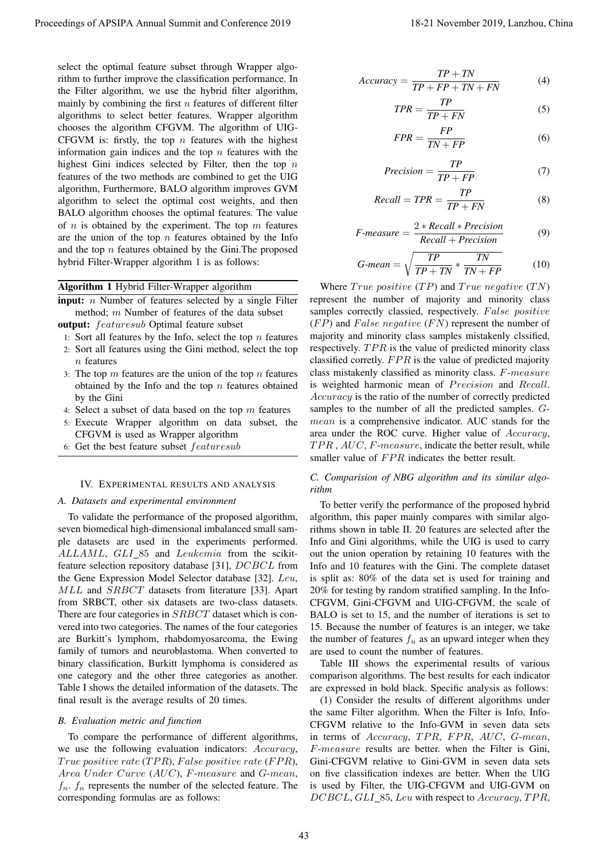select the optimal feature subset through Wrapper algorithm to further improve the classification performance. In the Filter algorithm, we use the hybrid filter algorithm, mainly by combining the first *n* features of different filter algorithms to select better features. Wrapper algorithm chooses the algorithm CFGVM. The algorithm of UIG-CFGVM is: firstly, the top *n* features with the highest information gain indices and the top *n* features with the highest Gini indices selected by Filter, then the top *n* features of the two methods are combined to get the UIG algorithm, Furthermore, BALO algorithm improves GVM algorithm to select the optimal cost weights, and then BALO algorithm chooses the optimal features. The value of *n* is obtained by the experiment. The top *m* features are the union of the top *n* features obtained by the Info and the top *n* features obtained by the Gini.The proposed hybrid Filter-Wrapper algorithm 1 is as follows: Proceedings of APSIPA Annual Summit and Conference 2019<br>
Which the relation of the first of the state of the state of the state of the state of the state of the state of the state of the state of the state of the state of

# Algorithm 1 Hybrid Filter-Wrapper algorithm

input: *n* Number of features selected by a single Filter method; *m* Number of features of the data subset

output: *featuresub* Optimal feature subset

- 1: Sort all features by the Info, select the top *n* features
- 2: Sort all features using the Gini method, select the top *n* features
- 3: The top *m* features are the union of the top *n* features obtained by the Info and the top *n* features obtained by the Gini
- 4: Select a subset of data based on the top *m* features
- 5: Execute Wrapper algorithm on data subset, the CFGVM is used as Wrapper algorithm
- 6: Get the best feature subset *featuresub*

#### IV. EXPERIMENTAL RESULTS AND ANALYSIS

# *A. Datasets and experimental environment*

To validate the performance of the proposed algorithm, seven biomedical high-dimensional imbalanced small sample datasets are used in the experiments performed. *ALLAML*, *GLI* 85 and *Leukemia* from the scikitfeature selection repository database [31], *DCBCL* from the Gene Expression Model Selector database [32]. *Leu*, *MLL* and *SRBCT* datasets from literature [33]. Apart from SRBCT, other six datasets are two-class datasets. There are four categories in *SRBCT* dataset which is convered into two categories. The names of the four categories are Burkitt's lymphom, rhabdomyosarcoma, the Ewing family of tumors and neuroblastoma. When converted to binary classification, Burkitt lymphoma is considered as one category and the other three categories as another. Table I shows the detailed information of the datasets. The final result is the average results of 20 times.

#### *B. Evaluation metric and function*

To compare the performance of different algorithms, we use the following evaluation indicators: *Accuracy*, *T rue positive rate* (*T P R*), *F alse positive rate* (*F P R*), *Area Under Curve* (*AUC*), *F*-*measure* and *G*-*mean*,  $f_n$ .  $f_n$  represents the number of the selected feature. The corresponding formulas are as follows:

$$
Accuracy = \frac{TP + TN}{TP + FP + TN + FN}
$$
 (4)

$$
TPR = \frac{TP}{TP + FN} \tag{5}
$$

$$
FPR = \frac{FP}{TN + FP} \tag{6}
$$

$$
Precision = \frac{TP}{TP + FP}
$$
\n(7)

$$
Recall = TPR = \frac{TP}{TP + FN}
$$
 (8)

$$
F-measure = \frac{2 * Recall * Precision}{Recall + Precision}
$$
 (9)

$$
G\text{-}mean = \sqrt{\frac{TP}{TP + TN} * \frac{TN}{TN + FP}}
$$
(10)

Where *T rue positive* (*T P*) and *T rue negative* (*T N*) represent the number of majority and minority class samples correctly classied, respectively. *F alse positive* (*F P*) and *F alse negative* (*F N*) represent the number of majority and minority class samples mistakenly clssified, respectively. *TPR* is the value of predicted minority class classified corretly. *F P R* is the value of predicted majority class mistakenly classified as minority class. *F*-*measure* is weighted harmonic mean of *Precision* and *Recall*. *Accuracy* is the ratio of the number of correctly predicted samples to the number of all the predicted samples. *Gmean* is a comprehensive indicator. AUC stands for the area under the ROC curve. Higher value of *Accuracy*, *T P R* , *AUC*, *F*-*measure*, indicate the better result, while smaller value of *FPR* indicates the better result.

# *C. Comparision of NBG algorithm and its similar algorithm*

To better verify the performance of the proposed hybrid algorithm, this paper mainly compares with similar algorithms shown in table II. 20 features are selected after the Info and Gini algorithms, while the UIG is used to carry out the union operation by retaining 10 features with the Info and 10 features with the Gini. The complete dataset is split as: 80% of the data set is used for training and 20% for testing by random stratified sampling. In the Info-CFGVM, Gini-CFGVM and UIG-CFGVM, the scale of BALO is set to 15, and the number of iterations is set to 15. Because the number of features is an integer, we take the number of features  $f_n$  as an upward integer when they are used to count the number of features.

Table III shows the experimental results of various comparison algorithms. The best results for each indicator are expressed in bold black. Specific analysis as follows:

(1) Consider the results of different algorithms under the same Filter algorithm. When the Filter is Info, Info-CFGVM relative to the Info-GVM in seven data sets in terms of *Accuracy*, *T P R*, *F P R*, *AUC*, *G*-*mean*, *F*-*measure* results are better. when the Filter is Gini, Gini-CFGVM relative to Gini-GVM in seven data sets on five classification indexes are better. When the UIG is used by Filter, the UIG-CFGVM and UIG-GVM on *DCBCL*, *GLI* 85, *Leu* with respect to *Accuracy*, *T P R*,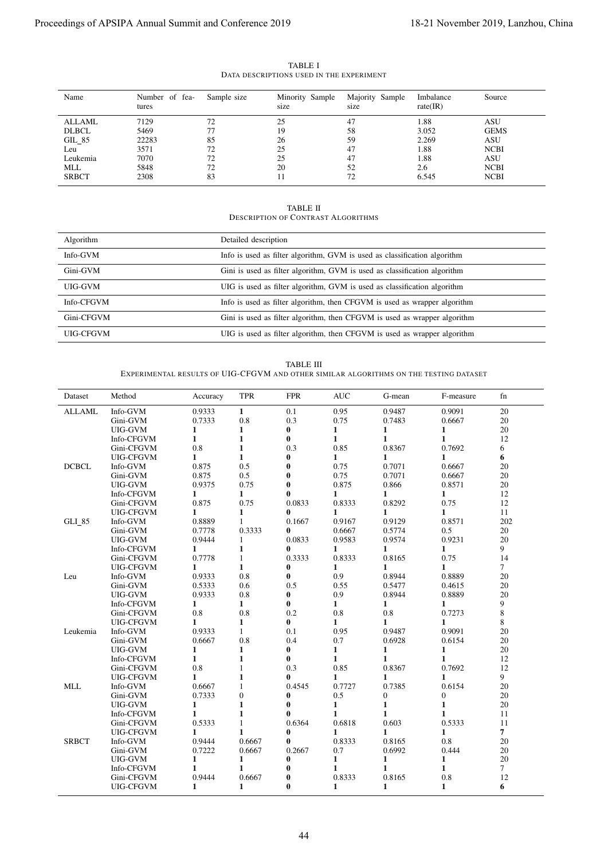TABLE I DATA DESCRIPTIONS USED IN THE EXPERIMENT

| Name          | Number of fea-<br>tures | Sample size | Minority Sample<br>size | Majority Sample<br>size | Imbalance<br>rate(IR) | Source      |
|---------------|-------------------------|-------------|-------------------------|-------------------------|-----------------------|-------------|
| <b>ALLAML</b> | 7129                    | 72          | 25                      | 47                      | 1.88                  | ASU         |
| <b>DLBCL</b>  | 5469                    |             | 19                      | 58                      | 3.052                 | <b>GEMS</b> |
| GIL 85        | 22283                   | 85          | 26                      | 59                      | 2.269                 | ASU         |
| Leu           | 3571                    | 72          | 25                      | 47                      | 1.88                  | <b>NCBI</b> |
| Leukemia      | 7070                    | 72          | 25                      | 47                      | 1.88                  | ASU         |
| MLL           | 5848                    | 72          | 20                      | 52                      | 2.6                   | <b>NCBI</b> |
| <b>SRBCT</b>  | 2308                    | 83          | 11                      |                         | 6.545                 | <b>NCBI</b> |

TABLE II DESCRIPTION OF CONTRAST ALGORITHMS

| Algorithm  | Detailed description                                                      |
|------------|---------------------------------------------------------------------------|
| Info-GVM   | Info is used as filter algorithm, GVM is used as classification algorithm |
| Gini-GVM   | Gini is used as filter algorithm, GVM is used as classification algorithm |
| UIG-GVM    | UIG is used as filter algorithm, GVM is used as classification algorithm  |
| Info-CFGVM | Info is used as filter algorithm, then CFGVM is used as wrapper algorithm |
| Gini-CFGVM | Gini is used as filter algorithm, then CFGVM is used as wrapper algorithm |
| UIG-CFGVM  | UIG is used as filter algorithm, then CFGVM is used as wrapper algorithm  |

|                     |                          |                        |                              | TABLE I<br>DATA DESCRIPTIONS USED IN THE EXPERIMENT                       |                        |                        |                                                                                       |                            |
|---------------------|--------------------------|------------------------|------------------------------|---------------------------------------------------------------------------|------------------------|------------------------|---------------------------------------------------------------------------------------|----------------------------|
| Name                | Number of fea-<br>tures  | Sample size            |                              | Minority Sample<br>size                                                   | size                   | Majority Sample        | Imbalance<br>rate(IR)                                                                 | Source                     |
| ALLAML              | 7129                     | 72                     |                              | 25                                                                        | 47                     |                        | 1.88                                                                                  | <b>ASU</b>                 |
| <b>DLBCL</b>        | 5469                     | 77                     |                              | 19                                                                        | 58                     |                        | 3.052                                                                                 | <b>GEMS</b>                |
| GIL_85<br>Leu       | 22283<br>3571            | 85<br>72               |                              | 26<br>25                                                                  | 59<br>47               |                        | 2.269<br>1.88                                                                         | ASU<br><b>NCBI</b>         |
| Leukemia            | 7070                     | 72                     |                              | 25                                                                        | 47                     |                        | 1.88                                                                                  | ASU                        |
| MLL<br><b>SRBCT</b> | 5848<br>2308             | 72<br>83               |                              | 20<br>11                                                                  | 52<br>72               |                        | 2.6<br>6.545                                                                          | <b>NCBI</b><br><b>NCBI</b> |
|                     |                          |                        |                              | <b>TABLE II</b><br><b>DESCRIPTION OF CONTRAST ALGORITHMS</b>              |                        |                        |                                                                                       |                            |
| Algorithm           |                          |                        | Detailed description         |                                                                           |                        |                        |                                                                                       |                            |
| Info-GVM            |                          |                        |                              | Info is used as filter algorithm, GVM is used as classification algorithm |                        |                        |                                                                                       |                            |
| Gini-GVM            |                          |                        |                              | Gini is used as filter algorithm, GVM is used as classification algorithm |                        |                        |                                                                                       |                            |
| UIG-GVM             |                          |                        |                              | UIG is used as filter algorithm, GVM is used as classification algorithm  |                        |                        |                                                                                       |                            |
| Info-CFGVM          |                          |                        |                              |                                                                           |                        |                        | Info is used as filter algorithm, then CFGVM is used as wrapper algorithm             |                            |
| Gini-CFGVM          |                          |                        |                              |                                                                           |                        |                        | Gini is used as filter algorithm, then CFGVM is used as wrapper algorithm             |                            |
| UIG-CFGVM           |                          |                        |                              |                                                                           |                        |                        | UIG is used as filter algorithm, then CFGVM is used as wrapper algorithm              |                            |
|                     |                          |                        |                              | <b>TABLE III</b>                                                          |                        |                        | EXPERIMENTAL RESULTS OF UIG-CFGVM AND OTHER SIMILAR ALGORITHMS ON THE TESTING DATASET |                            |
| Dataset             | Method                   | Accuracy               | <b>TPR</b>                   | <b>FPR</b>                                                                | <b>AUC</b>             | G-mean                 | F-measure                                                                             | fn                         |
| ALLAML              | Info-GVM                 | 0.9333                 | $\mathbf{1}$                 | 0.1                                                                       | 0.95                   | 0.9487                 | 0.9091                                                                                | 20                         |
|                     | Gini-GVM<br>UIG-GVM      | 0.7333<br>1            | 0.8<br>1                     | 0.3<br>0                                                                  | 0.75<br>1              | 0.7483<br>1            | 0.6667<br>1                                                                           | 20<br>20                   |
|                     | Info-CFGVM               | $\mathbf{1}$           | 1                            | $\bf{0}$                                                                  | 1                      | 1                      | 1                                                                                     | 12                         |
|                     | Gini-CFGVM               | 0.8                    | 1                            | 0.3                                                                       | 0.85                   | 0.8367                 | 0.7692                                                                                | 6                          |
|                     | UIG-CFGVM                | 1                      | 1                            | 0<br>$\bf{0}$                                                             | 1                      | 1<br>0.7071            | 1                                                                                     | 6                          |
| <b>DCBCL</b>        | Info-GVM<br>Gini-GVM     | 0.875<br>0.875         | 0.5<br>0.5                   | $\bf{0}$                                                                  | 0.75<br>0.75           | 0.7071                 | 0.6667<br>0.6667                                                                      | 20<br>20                   |
|                     | UIG-GVM                  | 0.9375                 | 0.75                         | $\bf{0}$                                                                  | 0.875                  | 0.866                  | 0.8571                                                                                | 20                         |
|                     | Info-CFGVM               | $\mathbf{1}$           | $\mathbf{1}$                 | $\bf{0}$                                                                  | 1                      | $\mathbf{1}$           | $\mathbf{1}$                                                                          | 12                         |
|                     | Gini-CFGVM<br>UIG-CFGVM  | 0.875<br>$\mathbf{1}$  | 0.75<br>1                    | 0.0833<br>0                                                               | 0.8333<br>1            | 0.8292<br>1            | 0.75<br>$\mathbf{1}$                                                                  | 12<br>11                   |
| GLI_85              | Info-GVM                 | 0.8889                 | $\mathbf{1}$                 | 0.1667                                                                    | 0.9167                 | 0.9129                 | 0.8571                                                                                | 202                        |
|                     | Gini-GVM                 | 0.7778                 | 0.3333                       | $\bf{0}$                                                                  | 0.6667                 | 0.5774                 | 0.5                                                                                   | 20                         |
|                     | UIG-GVM                  | 0.9444                 | 1                            | 0.0833                                                                    | 0.9583                 | 0.9574                 | 0.9231                                                                                | 20<br>9                    |
|                     | Info-CFGVM<br>Gini-CFGVM | $\mathbf{1}$<br>0.7778 | 1<br>$\mathbf{1}$            | $\bf{0}$<br>0.3333                                                        | 1<br>0.8333            | 1<br>0.8165            | 1<br>0.75                                                                             | 14                         |
|                     | UIG-CFGVM                | $\mathbf{1}$           | $\mathbf{1}$                 | 0                                                                         | $\mathbf{1}$           | 1                      | $\mathbf{1}$                                                                          | $\tau$                     |
|                     | Info-GVM                 | 0.9333                 | 0.8                          | $\bf{0}$                                                                  | 0.9                    | 0.8944                 | 0.8889                                                                                | 20                         |
| Leu                 |                          | 0.5333<br>0.9333       | 0.6<br>0.8                   | 0.5<br>$\bf{0}$                                                           | 0.55<br>0.9            | 0.5477<br>0.8944       | 0.4615<br>0.8889                                                                      | 20<br>$20\,$               |
|                     | Gini-GVM                 |                        |                              | $\bf{0}$                                                                  | $\mathbf{1}$           | 1                      | 1                                                                                     | 9                          |
|                     | UIG-GVM<br>Info-CFGVM    | $\mathbf{1}$           | $\mathbf{1}$                 |                                                                           |                        | 0.8                    | 0.7273                                                                                | 8                          |
|                     | Gini-CFGVM               | 0.8                    | 0.8                          | 0.2                                                                       | $0.8\,$                |                        | $\mathbf{1}$                                                                          | 8<br>20                    |
|                     | UIG-CFGVM                | $\mathbf{1}$           | 1                            | $\bf{0}$                                                                  | $\mathbf{1}$           | 1                      |                                                                                       |                            |
| Leukemia            | Info-GVM<br>Gini-GVM     | 0.9333<br>0.6667       | $\mathbf{1}$<br>0.8          | 0.1<br>0.4                                                                | 0.95<br>0.7            | 0.9487<br>0.6928       | 0.9091<br>0.6154                                                                      | 20                         |
|                     | UIG-GVM                  | 1                      | 1                            | $\bf{0}$                                                                  | $\mathbf{1}$           | 1                      | 1                                                                                     | $20\,$                     |
|                     | Info-CFGVM               | $\mathbf{1}$           | 1                            | $\bf{0}$                                                                  | 1                      | 1                      | 1                                                                                     | 12                         |
|                     | Gini-CFGVM               | 0.8                    | 1<br>1                       | 0.3<br>$\bf{0}$                                                           | 0.85<br>$\mathbf{1}$   | 0.8367<br>1            | 0.7692<br>1                                                                           | 12<br>9                    |
| <b>MLL</b>          | UIG-CFGVM<br>Info-GVM    | $\mathbf{1}$<br>0.6667 | 1                            | 0.4545                                                                    | 0.7727                 | 0.7385                 | 0.6154                                                                                | 20                         |
|                     | Gini-GVM                 | 0.7333                 | $\boldsymbol{0}$             | 0                                                                         | 0.5                    | $\boldsymbol{0}$       | 0                                                                                     | 20                         |
|                     | UIG-GVM                  | $\mathbf{1}$           | $\mathbf{1}$                 | $\bf{0}$                                                                  | 1                      | $\mathbf{1}$           | $\mathbf{1}$                                                                          | 20                         |
|                     | Info-CFGVM<br>Gini-CFGVM | $\mathbf{1}$<br>0.5333 | $\mathbf{1}$<br>$\mathbf{1}$ | 0<br>0.6364                                                               | $\mathbf{1}$<br>0.6818 | 1<br>0.603             | $\mathbf{1}$<br>0.5333                                                                | 11<br>11                   |
|                     | UIG-CFGVM                | 1                      | $\mathbf{1}$                 | $\bf{0}$                                                                  | 1                      | 1                      | 1                                                                                     | $\overline{7}$             |
| <b>SRBCT</b>        | Info-GVM                 | 0.9444                 | 0.6667                       | $\bf{0}$                                                                  | 0.8333                 | 0.8165                 | $0.8\,$                                                                               | $20\,$                     |
|                     | Gini-GVM                 | 0.7222<br>$\mathbf{1}$ | 0.6667<br>1                  | 0.2667<br>$\bf{0}$                                                        | 0.7<br>1               | 0.6992<br>1            | 0.444<br>$\mathbf{1}$                                                                 | 20<br>20                   |
|                     | UIG-GVM<br>Info-CFGVM    | 1                      | 1                            | $\bf{0}$                                                                  | 1                      | 1                      | $\mathbf{1}$                                                                          | $\tau$                     |
|                     | Gini-CFGVM<br>UIG-CFGVM  | 0.9444<br>1            | 0.6667<br>$\mathbf{1}$       | $\bf{0}$<br>$\mathbf{0}$                                                  | 0.8333<br>$\mathbf{1}$ | 0.8165<br>$\mathbf{1}$ | 0.8<br>$\mathbf{1}$                                                                   | 12<br>6                    |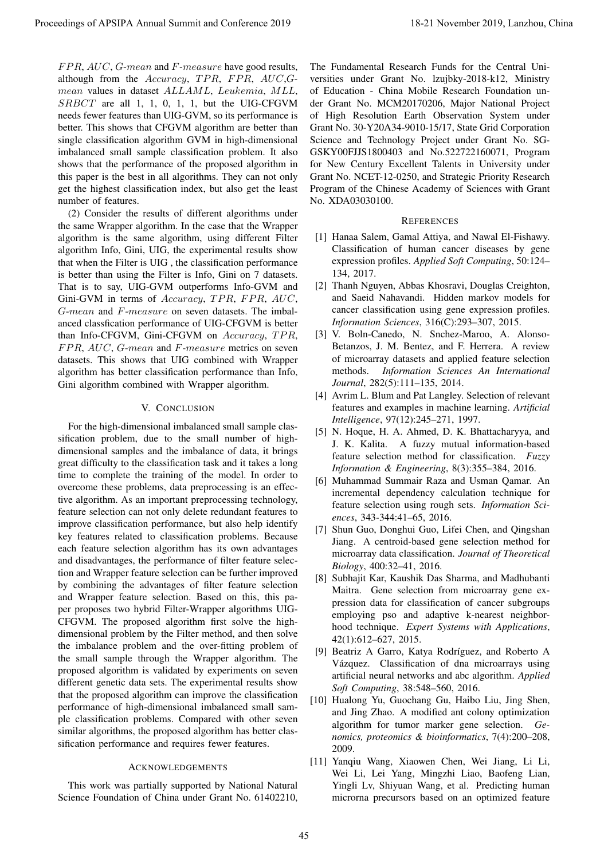*F P R*, *AUC*, *G*-*mean* and *F*-*measure* have good results, although from the *Accuracy*, *T P R*, *F P R*, *AUC*,*Gmean* values in dataset *ALLAML*, *Leukemia*, *MLL*, *SRBCT* are all 1, 1, 0, 1, 1, but the UIG-CFGVM needs fewer features than UIG-GVM, so its performance is better. This shows that CFGVM algorithm are better than single classification algorithm GVM in high-dimensional imbalanced small sample classification problem. It also shows that the performance of the proposed algorithm in this paper is the best in all algorithms. They can not only get the highest classification index, but also get the least number of features.

(2) Consider the results of different algorithms under the same Wrapper algorithm. In the case that the Wrapper algorithm is the same algorithm, using different Filter algorithm Info, Gini, UIG, the experimental results show that when the Filter is UIG , the classification performance is better than using the Filter is Info, Gini on 7 datasets. That is to say, UIG-GVM outperforms Info-GVM and Gini-GVM in terms of *Accuracy*, *T P R*, *F P R*, *AUC*, *G*-*mean* and *F*-*measure* on seven datasets. The imbalanced classfication performance of UIG-CFGVM is better than Info-CFGVM, Gini-CFGVM on *Accuracy*, *T P R*, *F P R*, *AUC*, *G*-*mean* and *F*-*measure* metrics on seven datasets. This shows that UIG combined with Wrapper algorithm has better classification performance than Info, Gini algorithm combined with Wrapper algorithm.

#### V. CONCLUSION

For the high-dimensional imbalanced small sample classification problem, due to the small number of highdimensional samples and the imbalance of data, it brings great difficulty to the classification task and it takes a long time to complete the training of the model. In order to overcome these problems, data preprocessing is an effective algorithm. As an important preprocessing technology, feature selection can not only delete redundant features to improve classification performance, but also help identify key features related to classification problems. Because each feature selection algorithm has its own advantages and disadvantages, the performance of filter feature selection and Wrapper feature selection can be further improved by combining the advantages of filter feature selection and Wrapper feature selection. Based on this, this paper proposes two hybrid Filter-Wrapper algorithms UIG-CFGVM. The proposed algorithm first solve the highdimensional problem by the Filter method, and then solve the imbalance problem and the over-fitting problem of the small sample through the Wrapper algorithm. The proposed algorithm is validated by experiments on seven different genetic data sets. The experimental results show that the proposed algorithm can improve the classification performance of high-dimensional imbalanced small sample classification problems. Compared with other seven similar algorithms, the proposed algorithm has better classification performance and requires fewer features. Proceeding of APSIPA Annual Summit and Conference 2019<br> *Proceedings of APSIPA Annual Summit and Annual Summit and Annual Summit and Annual Conference 2019, Lanzhou, China 45-21 November 2019, Lanzhou, China 45-21 Novembe* 

# ACKNOWLEDGEMENTS

This work was partially supported by National Natural Science Foundation of China under Grant No. 61402210, The Fundamental Research Funds for the Central Universities under Grant No. lzujbky-2018-k12, Ministry of Education - China Mobile Research Foundation under Grant No. MCM20170206, Major National Project of High Resolution Earth Observation System under Grant No. 30-Y20A34-9010-15/17, State Grid Corporation Science and Technology Project under Grant No. SG-GSKY00FJJS1800403 and No.522722160071, Program for New Century Excellent Talents in University under Grant No. NCET-12-0250, and Strategic Priority Research Program of the Chinese Academy of Sciences with Grant No. XDA03030100.

## **REFERENCES**

- [1] Hanaa Salem, Gamal Attiya, and Nawal El-Fishawy. Classification of human cancer diseases by gene expression profiles. *Applied Soft Computing*, 50:124– 134, 2017.
- [2] Thanh Nguyen, Abbas Khosravi, Douglas Creighton, and Saeid Nahavandi. Hidden markov models for cancer classification using gene expression profiles. *Information Sciences*, 316(C):293–307, 2015.
- [3] V. Boln-Canedo, N. Snchez-Maroo, A. Alonso-Betanzos, J. M. Bentez, and F. Herrera. A review of microarray datasets and applied feature selection methods. *Information Sciences An International Journal*, 282(5):111–135, 2014.
- [4] Avrim L. Blum and Pat Langley. Selection of relevant features and examples in machine learning. *Artificial Intelligence*, 97(12):245–271, 1997.
- [5] N. Hoque, H. A. Ahmed, D. K. Bhattacharyya, and J. K. Kalita. A fuzzy mutual information-based feature selection method for classification. *Fuzzy Information & Engineering*, 8(3):355–384, 2016.
- [6] Muhammad Summair Raza and Usman Qamar. An incremental dependency calculation technique for feature selection using rough sets. *Information Sciences*, 343-344:41–65, 2016.
- [7] Shun Guo, Donghui Guo, Lifei Chen, and Qingshan Jiang. A centroid-based gene selection method for microarray data classification. *Journal of Theoretical Biology*, 400:32–41, 2016.
- [8] Subhajit Kar, Kaushik Das Sharma, and Madhubanti Maitra. Gene selection from microarray gene expression data for classification of cancer subgroups employing pso and adaptive k-nearest neighborhood technique. *Expert Systems with Applications*, 42(1):612–627, 2015.
- [9] Beatriz A Garro, Katya Rodríguez, and Roberto A Vázquez. Classification of dna microarrays using artificial neural networks and abc algorithm. *Applied Soft Computing*, 38:548–560, 2016.
- [10] Hualong Yu, Guochang Gu, Haibo Liu, Jing Shen, and Jing Zhao. A modified ant colony optimization algorithm for tumor marker gene selection. *Genomics, proteomics & bioinformatics*, 7(4):200–208, 2009.
- [11] Yanqiu Wang, Xiaowen Chen, Wei Jiang, Li Li, Wei Li, Lei Yang, Mingzhi Liao, Baofeng Lian, Yingli Lv, Shiyuan Wang, et al. Predicting human microrna precursors based on an optimized feature